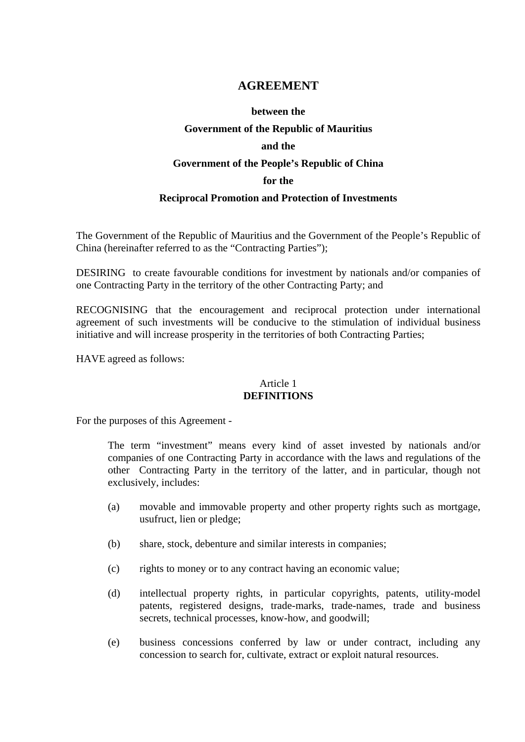# **AGREEMENT**

#### **between the**

## **Government of the Republic of Mauritius**

#### **and the**

#### **Government of the People's Republic of China**

#### **for the**

# **Reciprocal Promotion and Protection of Investments**

The Government of the Republic of Mauritius and the Government of the People's Republic of China (hereinafter referred to as the "Contracting Parties");

DESIRING to create favourable conditions for investment by nationals and/or companies of one Contracting Party in the territory of the other Contracting Party; and

RECOGNISING that the encouragement and reciprocal protection under international agreement of such investments will be conducive to the stimulation of individual business initiative and will increase prosperity in the territories of both Contracting Parties;

HAVE agreed as follows:

# Article 1 **DEFINITIONS**

For the purposes of this Agreement -

 The term "investment" means every kind of asset invested by nationals and/or companies of one Contracting Party in accordance with the laws and regulations of the other Contracting Party in the territory of the latter, and in particular, though not exclusively, includes:

- (a) movable and immovable property and other property rights such as mortgage, usufruct, lien or pledge;
- (b) share, stock, debenture and similar interests in companies;
- (c) rights to money or to any contract having an economic value;
- (d) intellectual property rights, in particular copyrights, patents, utility-model patents, registered designs, trade-marks, trade-names, trade and business secrets, technical processes, know-how, and goodwill;
- (e) business concessions conferred by law or under contract, including any concession to search for, cultivate, extract or exploit natural resources.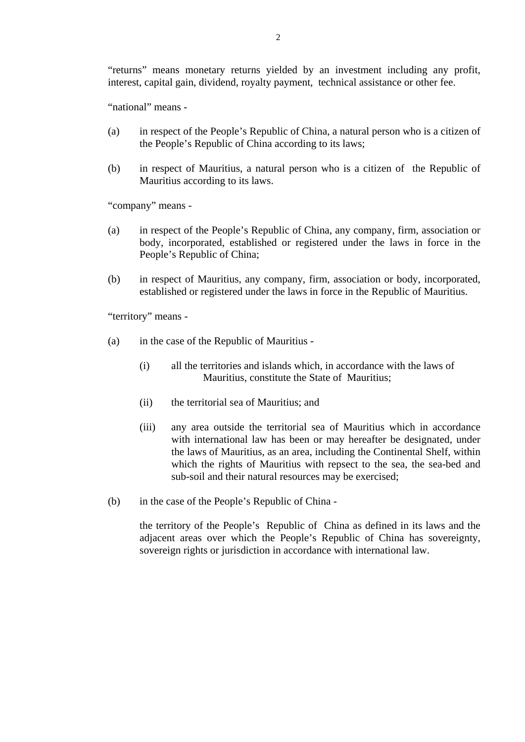2

 "returns" means monetary returns yielded by an investment including any profit, interest, capital gain, dividend, royalty payment, technical assistance or other fee.

"national" means -

- (a) in respect of the People's Republic of China, a natural person who is a citizen of the People's Republic of China according to its laws;
- (b) in respect of Mauritius, a natural person who is a citizen of the Republic of Mauritius according to its laws.

"company" means -

- (a) in respect of the People's Republic of China, any company, firm, association or body, incorporated, established or registered under the laws in force in the People's Republic of China;
- (b) in respect of Mauritius, any company, firm, association or body, incorporated, established or registered under the laws in force in the Republic of Mauritius.

"territory" means -

- (a) in the case of the Republic of Mauritius
	- (i) all the territories and islands which, in accordance with the laws of Mauritius, constitute the State of Mauritius;
	- (ii) the territorial sea of Mauritius; and
	- (iii) any area outside the territorial sea of Mauritius which in accordance with international law has been or may hereafter be designated, under the laws of Mauritius, as an area, including the Continental Shelf, within which the rights of Mauritius with repsect to the sea, the sea-bed and sub-soil and their natural resources may be exercised;
- (b) in the case of the People's Republic of China -

the territory of the People's Republic of China as defined in its laws and the adjacent areas over which the People's Republic of China has sovereignty, sovereign rights or jurisdiction in accordance with international law.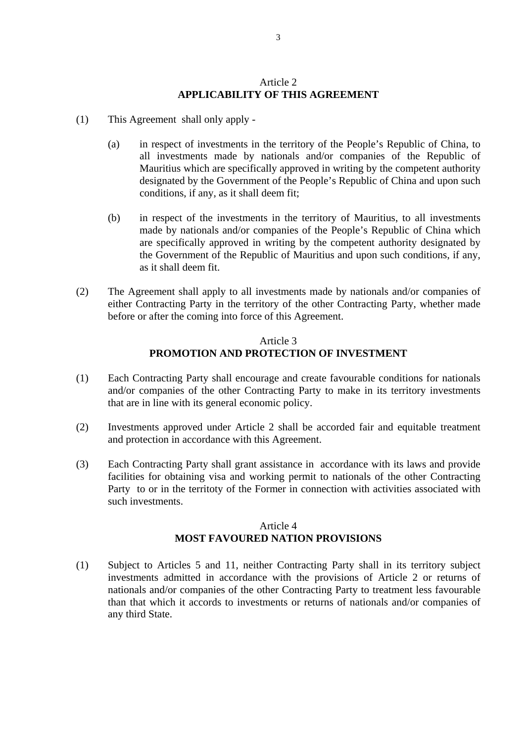### Article 2 **APPLICABILITY OF THIS AGREEMENT**

- (1) This Agreement shall only apply
	- (a) in respect of investments in the territory of the People's Republic of China, to all investments made by nationals and/or companies of the Republic of Mauritius which are specifically approved in writing by the competent authority designated by the Government of the People's Republic of China and upon such conditions, if any, as it shall deem fit;
	- (b) in respect of the investments in the territory of Mauritius, to all investments made by nationals and/or companies of the People's Republic of China which are specifically approved in writing by the competent authority designated by the Government of the Republic of Mauritius and upon such conditions, if any, as it shall deem fit.
- (2) The Agreement shall apply to all investments made by nationals and/or companies of either Contracting Party in the territory of the other Contracting Party, whether made before or after the coming into force of this Agreement.

# Article 3 **PROMOTION AND PROTECTION OF INVESTMENT**

- (1) Each Contracting Party shall encourage and create favourable conditions for nationals and/or companies of the other Contracting Party to make in its territory investments that are in line with its general economic policy.
- (2) Investments approved under Article 2 shall be accorded fair and equitable treatment and protection in accordance with this Agreement.
- (3) Each Contracting Party shall grant assistance in accordance with its laws and provide facilities for obtaining visa and working permit to nationals of the other Contracting Party to or in the territoty of the Former in connection with activities associated with such investments.

# Article 4 **MOST FAVOURED NATION PROVISIONS**

(1) Subject to Articles 5 and 11, neither Contracting Party shall in its territory subject investments admitted in accordance with the provisions of Article 2 or returns of nationals and/or companies of the other Contracting Party to treatment less favourable than that which it accords to investments or returns of nationals and/or companies of any third State.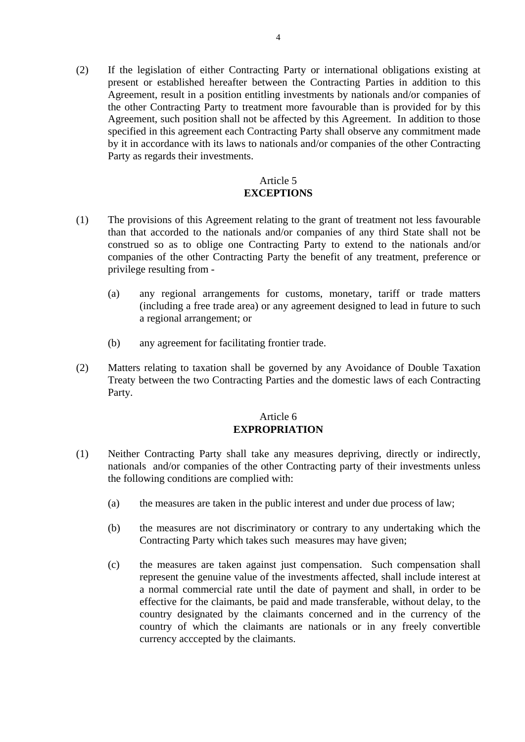(2) If the legislation of either Contracting Party or international obligations existing at present or established hereafter between the Contracting Parties in addition to this Agreement, result in a position entitling investments by nationals and/or companies of the other Contracting Party to treatment more favourable than is provided for by this Agreement, such position shall not be affected by this Agreement. In addition to those specified in this agreement each Contracting Party shall observe any commitment made by it in accordance with its laws to nationals and/or companies of the other Contracting Party as regards their investments.

## Article 5 **EXCEPTIONS**

- (1) The provisions of this Agreement relating to the grant of treatment not less favourable than that accorded to the nationals and/or companies of any third State shall not be construed so as to oblige one Contracting Party to extend to the nationals and/or companies of the other Contracting Party the benefit of any treatment, preference or privilege resulting from -
	- (a) any regional arrangements for customs, monetary, tariff or trade matters (including a free trade area) or any agreement designed to lead in future to such a regional arrangement; or
	- (b) any agreement for facilitating frontier trade.
- (2) Matters relating to taxation shall be governed by any Avoidance of Double Taxation Treaty between the two Contracting Parties and the domestic laws of each Contracting Party.

# Article 6 **EXPROPRIATION**

- (1) Neither Contracting Party shall take any measures depriving, directly or indirectly, nationals and/or companies of the other Contracting party of their investments unless the following conditions are complied with:
	- (a) the measures are taken in the public interest and under due process of law;
	- (b) the measures are not discriminatory or contrary to any undertaking which the Contracting Party which takes such measures may have given;
	- (c) the measures are taken against just compensation. Such compensation shall represent the genuine value of the investments affected, shall include interest at a normal commercial rate until the date of payment and shall, in order to be effective for the claimants, be paid and made transferable, without delay, to the country designated by the claimants concerned and in the currency of the country of which the claimants are nationals or in any freely convertible currency acccepted by the claimants.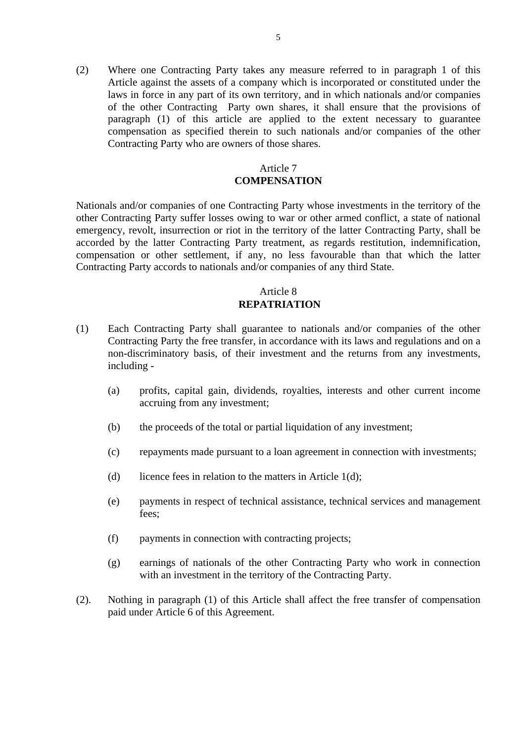(2) Where one Contracting Party takes any measure referred to in paragraph 1 of this Article against the assets of a company which is incorporated or constituted under the laws in force in any part of its own territory, and in which nationals and/or companies of the other Contracting Party own shares, it shall ensure that the provisions of paragraph (1) of this article are applied to the extent necessary to guarantee compensation as specified therein to such nationals and/or companies of the other Contracting Party who are owners of those shares.

# Article 7 **COMPENSATION**

Nationals and/or companies of one Contracting Party whose investments in the territory of the other Contracting Party suffer losses owing to war or other armed conflict, a state of national emergency, revolt, insurrection or riot in the territory of the latter Contracting Party, shall be accorded by the latter Contracting Party treatment, as regards restitution, indemnification, compensation or other settlement, if any, no less favourable than that which the latter Contracting Party accords to nationals and/or companies of any third State.

# Article 8  **REPATRIATION**

- (1) Each Contracting Party shall guarantee to nationals and/or companies of the other Contracting Party the free transfer, in accordance with its laws and regulations and on a non-discriminatory basis, of their investment and the returns from any investments, including -
	- (a) profits, capital gain, dividends, royalties, interests and other current income accruing from any investment;
	- (b) the proceeds of the total or partial liquidation of any investment;
	- (c) repayments made pursuant to a loan agreement in connection with investments;
	- (d) licence fees in relation to the matters in Article  $1(d)$ ;
	- (e) payments in respect of technical assistance, technical services and management fees;
	- (f) payments in connection with contracting projects;
	- (g) earnings of nationals of the other Contracting Party who work in connection with an investment in the territory of the Contracting Party.
- (2). Nothing in paragraph (1) of this Article shall affect the free transfer of compensation paid under Article 6 of this Agreement.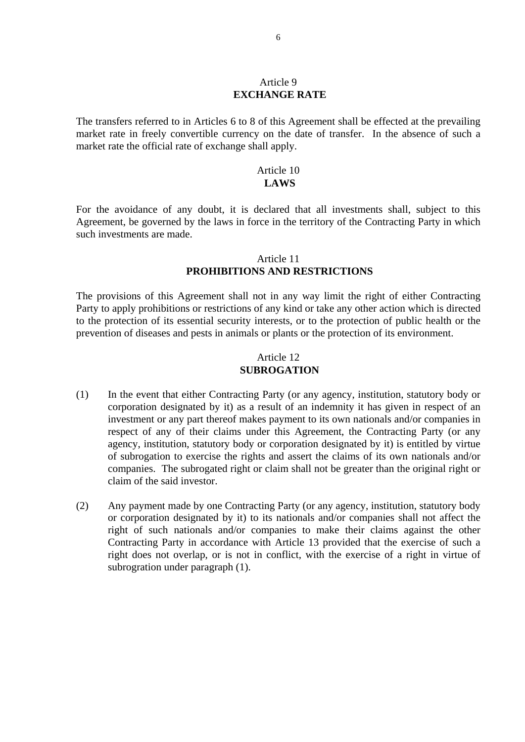### Article 9 **EXCHANGE RATE**

The transfers referred to in Articles 6 to 8 of this Agreement shall be effected at the prevailing market rate in freely convertible currency on the date of transfer. In the absence of such a market rate the official rate of exchange shall apply.

#### Article 10 **LAWS**

For the avoidance of any doubt, it is declared that all investments shall, subject to this Agreement, be governed by the laws in force in the territory of the Contracting Party in which such investments are made.

#### Article 11  **PROHIBITIONS AND RESTRICTIONS**

The provisions of this Agreement shall not in any way limit the right of either Contracting Party to apply prohibitions or restrictions of any kind or take any other action which is directed to the protection of its essential security interests, or to the protection of public health or the prevention of diseases and pests in animals or plants or the protection of its environment.

# Article 12  **SUBROGATION**

- (1) In the event that either Contracting Party (or any agency, institution, statutory body or corporation designated by it) as a result of an indemnity it has given in respect of an investment or any part thereof makes payment to its own nationals and/or companies in respect of any of their claims under this Agreement, the Contracting Party (or any agency, institution, statutory body or corporation designated by it) is entitled by virtue of subrogation to exercise the rights and assert the claims of its own nationals and/or companies. The subrogated right or claim shall not be greater than the original right or claim of the said investor.
- (2) Any payment made by one Contracting Party (or any agency, institution, statutory body or corporation designated by it) to its nationals and/or companies shall not affect the right of such nationals and/or companies to make their claims against the other Contracting Party in accordance with Article 13 provided that the exercise of such a right does not overlap, or is not in conflict, with the exercise of a right in virtue of subrogration under paragraph (1).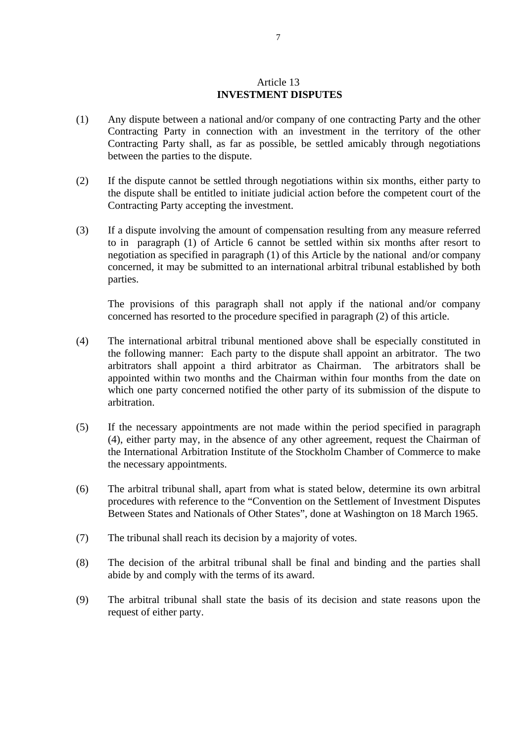### Article 13  **INVESTMENT DISPUTES**

- (1) Any dispute between a national and/or company of one contracting Party and the other Contracting Party in connection with an investment in the territory of the other Contracting Party shall, as far as possible, be settled amicably through negotiations between the parties to the dispute.
- (2) If the dispute cannot be settled through negotiations within six months, either party to the dispute shall be entitled to initiate judicial action before the competent court of the Contracting Party accepting the investment.
- (3) If a dispute involving the amount of compensation resulting from any measure referred to in paragraph (1) of Article 6 cannot be settled within six months after resort to negotiation as specified in paragraph (1) of this Article by the national and/or company concerned, it may be submitted to an international arbitral tribunal established by both parties.

 The provisions of this paragraph shall not apply if the national and/or company concerned has resorted to the procedure specified in paragraph (2) of this article.

- (4) The international arbitral tribunal mentioned above shall be especially constituted in the following manner: Each party to the dispute shall appoint an arbitrator. The two arbitrators shall appoint a third arbitrator as Chairman. The arbitrators shall be appointed within two months and the Chairman within four months from the date on which one party concerned notified the other party of its submission of the dispute to arbitration.
- (5) If the necessary appointments are not made within the period specified in paragraph (4), either party may, in the absence of any other agreement, request the Chairman of the International Arbitration Institute of the Stockholm Chamber of Commerce to make the necessary appointments.
- (6) The arbitral tribunal shall, apart from what is stated below, determine its own arbitral procedures with reference to the "Convention on the Settlement of Investment Disputes Between States and Nationals of Other States", done at Washington on 18 March 1965.
- (7) The tribunal shall reach its decision by a majority of votes.
- (8) The decision of the arbitral tribunal shall be final and binding and the parties shall abide by and comply with the terms of its award.
- (9) The arbitral tribunal shall state the basis of its decision and state reasons upon the request of either party.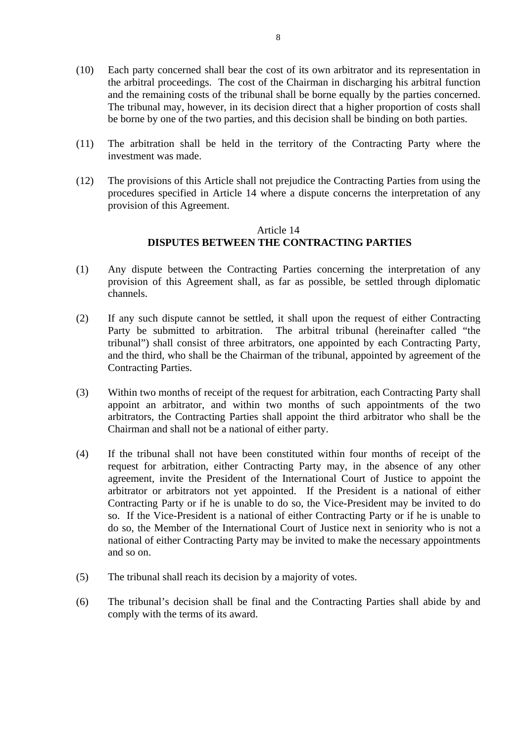- (10) Each party concerned shall bear the cost of its own arbitrator and its representation in the arbitral proceedings. The cost of the Chairman in discharging his arbitral function and the remaining costs of the tribunal shall be borne equally by the parties concerned. The tribunal may, however, in its decision direct that a higher proportion of costs shall be borne by one of the two parties, and this decision shall be binding on both parties.
- (11) The arbitration shall be held in the territory of the Contracting Party where the investment was made.
- (12) The provisions of this Article shall not prejudice the Contracting Parties from using the procedures specified in Article 14 where a dispute concerns the interpretation of any provision of this Agreement.

# Article 14  **DISPUTES BETWEEN THE CONTRACTING PARTIES**

- (1) Any dispute between the Contracting Parties concerning the interpretation of any provision of this Agreement shall, as far as possible, be settled through diplomatic channels.
- (2) If any such dispute cannot be settled, it shall upon the request of either Contracting Party be submitted to arbitration. The arbitral tribunal (hereinafter called "the tribunal") shall consist of three arbitrators, one appointed by each Contracting Party, and the third, who shall be the Chairman of the tribunal, appointed by agreement of the Contracting Parties.
- (3) Within two months of receipt of the request for arbitration, each Contracting Party shall appoint an arbitrator, and within two months of such appointments of the two arbitrators, the Contracting Parties shall appoint the third arbitrator who shall be the Chairman and shall not be a national of either party.
- (4) If the tribunal shall not have been constituted within four months of receipt of the request for arbitration, either Contracting Party may, in the absence of any other agreement, invite the President of the International Court of Justice to appoint the arbitrator or arbitrators not yet appointed. If the President is a national of either Contracting Party or if he is unable to do so, the Vice-President may be invited to do so. If the Vice-President is a national of either Contracting Party or if he is unable to do so, the Member of the International Court of Justice next in seniority who is not a national of either Contracting Party may be invited to make the necessary appointments and so on.
- (5) The tribunal shall reach its decision by a majority of votes.
- (6) The tribunal's decision shall be final and the Contracting Parties shall abide by and comply with the terms of its award.